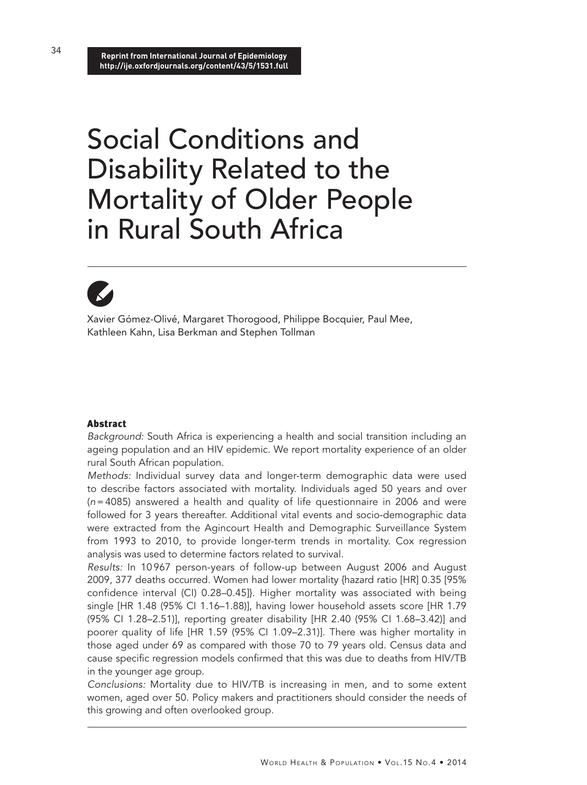**Reprint from International Journal of Epidemiology http://ije.oxfordjournals.org/content/43/5/1531.full**

# Social Conditions and Disability Related to the Mortality of Older People in Rural South Africa

Xavier Gómez-Olivé, Margaret Thorogood, Philippe Bocquier, Paul Mee, Kathleen Kahn, Lisa Berkman and Stephen Tollman

# Abstract

*Background:* South Africa is experiencing a health and social transition including an ageing population and an HIV epidemic. We report mortality experience of an older rural South African population.

*Methods:* Individual survey data and longer-term demographic data were used to describe factors associated with mortality. Individuals aged 50 years and over (*n*=4085) answered a health and quality of life questionnaire in 2006 and were followed for 3 years thereafter. Additional vital events and socio-demographic data were extracted from the Agincourt Health and Demographic Surveillance System from 1993 to 2010, to provide longer-term trends in mortality. Cox regression analysis was used to determine factors related to survival.

*Results:* In 10 967 person-years of follow-up between August 2006 and August 2009, 377 deaths occurred. Women had lower mortality {hazard ratio [HR] 0.35 [95% confidence interval (CI) 0.28–0.45]}. Higher mortality was associated with being single [HR 1.48 (95% CI 1.16–1.88)], having lower household assets score [HR 1.79 (95% CI 1.28–2.51)], reporting greater disability [HR 2.40 (95% CI 1.68–3.42)] and poorer quality of life [HR 1.59 (95% CI 1.09–2.31)]. There was higher mortality in those aged under 69 as compared with those 70 to 79 years old. Census data and cause specific regression models confirmed that this was due to deaths from HIV/TB in the younger age group.

*Conclusions:* Mortality due to HIV/TB is increasing in men, and to some extent women, aged over 50. Policy makers and practitioners should consider the needs of this growing and often overlooked group.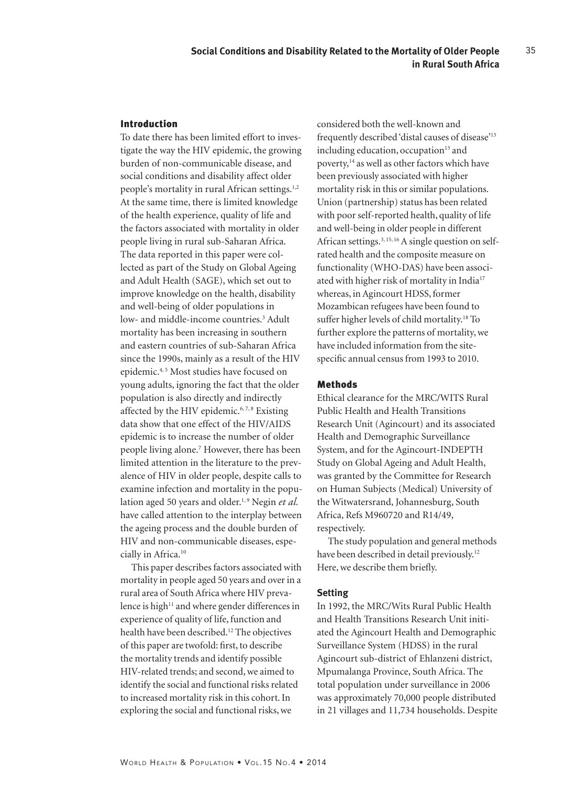# Introduction

To date there has been limited effort to investigate the way the HIV epidemic, the growing burden of non-communicable disease, and social conditions and disability affect older people's mortality in rural African settings.<sup>1,2</sup> At the same time, there is limited knowledge of the health experience, quality of life and the factors associated with mortality in older people living in rural sub-Saharan Africa. The data reported in this paper were collected as part of the Study on Global Ageing and Adult Health (SAGE), which set out to improve knowledge on the health, disability and well-being of older populations in low- and middle-income countries.<sup>3</sup> Adult mortality has been increasing in southern and eastern countries of sub-Saharan Africa since the 1990s, mainly as a result of the HIV epidemic.<sup>4, 5</sup> Most studies have focused on young adults, ignoring the fact that the older population is also directly and indirectly affected by the HIV epidemic. $6, 7, 8$  Existing data show that one effect of the HIV/AIDS epidemic is to increase the number of older people living alone.7 However, there has been limited attention in the literature to the prevalence of HIV in older people, despite calls to examine infection and mortality in the population aged 50 years and older.<sup>1, 9</sup> Negin et al. have called attention to the interplay between the ageing process and the double burden of HIV and non-communicable diseases, especially in Africa.<sup>10</sup>

This paper describes factors associated with mortality in people aged 50 years and over in a rural area of South Africa where HIV prevalence is high<sup>11</sup> and where gender differences in experience of quality of life, function and health have been described.12 The objectives of this paper are twofold: first, to describe the mortality trends and identify possible HIV-related trends; and second, we aimed to identify the social and functional risks related to increased mortality risk in this cohort. In exploring the social and functional risks, we

considered both the well-known and frequently described 'distal causes of disease'13 including education, occupation<sup>13</sup> and poverty,<sup>14</sup> as well as other factors which have been previously associated with higher mortality risk in this or similar populations. Union (partnership) status has been related with poor self-reported health, quality of life and well-being in older people in different African settings.<sup>3, 15, 16</sup> A single question on selfrated health and the composite measure on functionality (WHO-DAS) have been associated with higher risk of mortality in India<sup>17</sup> whereas, in Agincourt HDSS, former Mozambican refugees have been found to suffer higher levels of child mortality.18 To further explore the patterns of mortality, we have included information from the sitespecific annual census from 1993 to 2010.

#### Methods

Ethical clearance for the MRC/WITS Rural Public Health and Health Transitions Research Unit (Agincourt) and its associated Health and Demographic Surveillance System, and for the Agincourt-INDEPTH Study on Global Ageing and Adult Health, was granted by the Committee for Research on Human Subjects (Medical) University of the Witwatersrand, Johannesburg, South Africa, Refs M960720 and R14/49, respectively.

The study population and general methods have been described in detail previously.<sup>12</sup> Here, we describe them briefly.

#### **Setting**

In 1992, the MRC/Wits Rural Public Health and Health Transitions Research Unit initiated the Agincourt Health and Demographic Surveillance System (HDSS) in the rural Agincourt sub-district of Ehlanzeni district, Mpumalanga Province, South Africa. The total population under surveillance in 2006 was approximately 70,000 people distributed in 21 villages and 11,734 households. Despite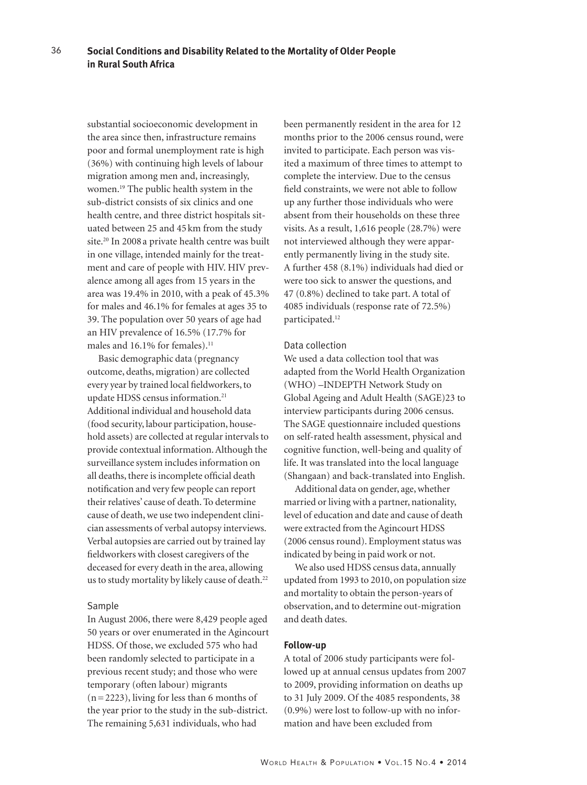substantial socioeconomic development in the area since then, infrastructure remains poor and formal unemployment rate is high (36%) with continuing high levels of labour migration among men and, increasingly, women.19 The public health system in the sub-district consists of six clinics and one health centre, and three district hospitals situated between 25 and 45 km from the study site.20 In 2008 a private health centre was built in one village, intended mainly for the treatment and care of people with HIV. HIV prevalence among all ages from 15 years in the area was 19.4% in 2010, with a peak of 45.3% for males and 46.1% for females at ages 35 to 39. The population over 50 years of age had an HIV prevalence of 16.5% (17.7% for males and 16.1% for females).<sup>11</sup>

Basic demographic data (pregnancy outcome, deaths, migration) are collected every year by trained local fieldworkers, to update HDSS census information.<sup>21</sup> Additional individual and household data (food security, labour participation, household assets) are collected at regular intervals to provide contextual information. Although the surveillance system includes information on all deaths, there is incomplete official death notification and very few people can report their relatives' cause of death. To determine cause of death, we use two independent clinician assessments of verbal autopsy interviews. Verbal autopsies are carried out by trained lay fieldworkers with closest caregivers of the deceased for every death in the area, allowing us to study mortality by likely cause of death.<sup>22</sup>

#### Sample

In August 2006, there were 8,429 people aged 50 years or over enumerated in the Agincourt HDSS. Of those, we excluded 575 who had been randomly selected to participate in a previous recent study; and those who were temporary (often labour) migrants (n=2223), living for less than 6 months of the year prior to the study in the sub-district. The remaining 5,631 individuals, who had

been permanently resident in the area for 12 months prior to the 2006 census round, were invited to participate. Each person was visited a maximum of three times to attempt to complete the interview. Due to the census field constraints, we were not able to follow up any further those individuals who were absent from their households on these three visits. As a result, 1,616 people (28.7%) were not interviewed although they were apparently permanently living in the study site. A further 458 (8.1%) individuals had died or were too sick to answer the questions, and 47 (0.8%) declined to take part. A total of 4085 individuals (response rate of 72.5%) participated.<sup>12</sup>

#### Data collection

We used a data collection tool that was adapted from the World Health Organization (WHO) –INDEPTH Network Study on Global Ageing and Adult Health (SAGE)23 to interview participants during 2006 census. The SAGE questionnaire included questions on self-rated health assessment, physical and cognitive function, well-being and quality of life. It was translated into the local language (Shangaan) and back-translated into English.

Additional data on gender, age, whether married or living with a partner, nationality, level of education and date and cause of death were extracted from the Agincourt HDSS (2006 census round). Employment status was indicated by being in paid work or not.

We also used HDSS census data, annually updated from 1993 to 2010, on population size and mortality to obtain the person-years of observation, and to determine out-migration and death dates.

#### **Follow-up**

A total of 2006 study participants were followed up at annual census updates from 2007 to 2009, providing information on deaths up to 31 July 2009. Of the 4085 respondents, 38 (0.9%) were lost to follow-up with no information and have been excluded from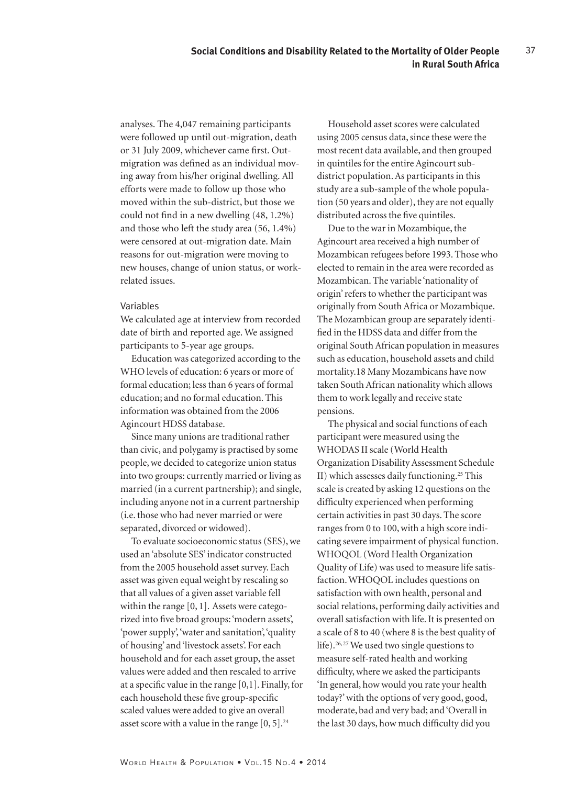analyses. The 4,047 remaining participants were followed up until out-migration, death or 31 July 2009, whichever came first. Outmigration was defined as an individual moving away from his/her original dwelling. All efforts were made to follow up those who moved within the sub-district, but those we could not find in a new dwelling (48, 1.2%) and those who left the study area (56, 1.4%) were censored at out-migration date. Main reasons for out-migration were moving to new houses, change of union status, or workrelated issues.

#### Variables

We calculated age at interview from recorded date of birth and reported age. We assigned participants to 5-year age groups.

Education was categorized according to the WHO levels of education: 6 years or more of formal education; less than 6 years of formal education; and no formal education. This information was obtained from the 2006 Agincourt HDSS database.

Since many unions are traditional rather than civic, and polygamy is practised by some people, we decided to categorize union status into two groups: currently married or living as married (in a current partnership); and single, including anyone not in a current partnership (i.e. those who had never married or were separated, divorced or widowed).

To evaluate socioeconomic status (SES), we used an 'absolute SES' indicator constructed from the 2005 household asset survey. Each asset was given equal weight by rescaling so that all values of a given asset variable fell within the range [0, 1]. Assets were categorized into five broad groups: 'modern assets', 'power supply', 'water and sanitation', 'quality of housing' and 'livestock assets'. For each household and for each asset group, the asset values were added and then rescaled to arrive at a specific value in the range [0,1]. Finally, for each household these five group-specific scaled values were added to give an overall asset score with a value in the range  $[0, 5]$ .<sup>24</sup>

Household asset scores were calculated using 2005 census data, since these were the most recent data available, and then grouped in quintiles for the entire Agincourt subdistrict population. As participants in this study are a sub-sample of the whole population (50 years and older), they are not equally distributed across the five quintiles.

Due to the war in Mozambique, the Agincourt area received a high number of Mozambican refugees before 1993. Those who elected to remain in the area were recorded as Mozambican. The variable 'nationality of origin' refers to whether the participant was originally from South Africa or Mozambique. The Mozambican group are separately identified in the HDSS data and differ from the original South African population in measures such as education, household assets and child mortality.18 Many Mozambicans have now taken South African nationality which allows them to work legally and receive state pensions.

The physical and social functions of each participant were measured using the WHODAS II scale (World Health Organization Disability Assessment Schedule II) which assesses daily functioning.25 This scale is created by asking 12 questions on the difficulty experienced when performing certain activities in past 30 days. The score ranges from 0 to 100, with a high score indicating severe impairment of physical function. WHOQOL (Word Health Organization Quality of Life) was used to measure life satisfaction. WHOQOL includes questions on satisfaction with own health, personal and social relations, performing daily activities and overall satisfaction with life. It is presented on a scale of 8 to 40 (where 8 is the best quality of life).<sup>26, 27</sup> We used two single questions to measure self-rated health and working difficulty, where we asked the participants 'In general, how would you rate your health today?' with the options of very good, good, moderate, bad and very bad; and 'Overall in the last 30 days, how much difficulty did you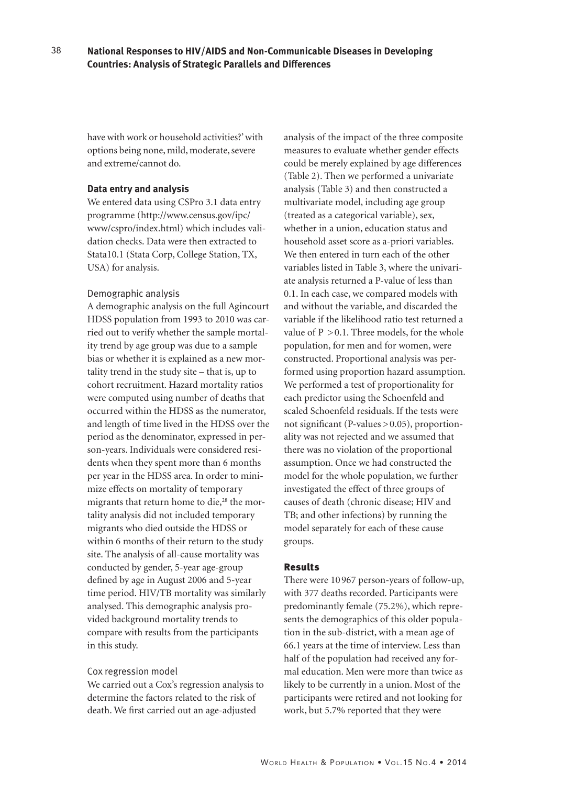have with work or household activities?' with options being none, mild, moderate, severe and extreme/cannot do.

## **Data entry and analysis**

38

We entered data using CSPro 3.1 data entry programme (http://www.census.gov/ipc/ www/cspro/index.html) which includes validation checks. Data were then extracted to Stata10.1 (Stata Corp, College Station, TX, USA) for analysis.

# Demographic analysis

A demographic analysis on the full Agincourt HDSS population from 1993 to 2010 was carried out to verify whether the sample mortality trend by age group was due to a sample bias or whether it is explained as a new mortality trend in the study site – that is, up to cohort recruitment. Hazard mortality ratios were computed using number of deaths that occurred within the HDSS as the numerator, and length of time lived in the HDSS over the period as the denominator, expressed in person-years. Individuals were considered residents when they spent more than 6 months per year in the HDSS area. In order to minimize effects on mortality of temporary migrants that return home to die,<sup>28</sup> the mortality analysis did not included temporary migrants who died outside the HDSS or within 6 months of their return to the study site. The analysis of all-cause mortality was conducted by gender, 5-year age-group defined by age in August 2006 and 5-year time period. HIV/TB mortality was similarly analysed. This demographic analysis provided background mortality trends to compare with results from the participants in this study.

#### Cox regression model

We carried out a Cox's regression analysis to determine the factors related to the risk of death. We first carried out an age-adjusted

analysis of the impact of the three composite measures to evaluate whether gender effects could be merely explained by age differences (Table 2). Then we performed a univariate analysis (Table 3) and then constructed a multivariate model, including age group (treated as a categorical variable), sex, whether in a union, education status and household asset score as a-priori variables. We then entered in turn each of the other variables listed in Table 3, where the univariate analysis returned a P-value of less than 0.1. In each case, we compared models with and without the variable, and discarded the variable if the likelihood ratio test returned a value of  $P > 0.1$ . Three models, for the whole population, for men and for women, were constructed. Proportional analysis was performed using proportion hazard assumption. We performed a test of proportionality for each predictor using the Schoenfeld and scaled Schoenfeld residuals. If the tests were not significant (P-values>0.05), proportionality was not rejected and we assumed that there was no violation of the proportional assumption. Once we had constructed the model for the whole population, we further investigated the effect of three groups of causes of death (chronic disease; HIV and TB; and other infections) by running the model separately for each of these cause groups.

#### Results

There were 10 967 person-years of follow-up, with 377 deaths recorded. Participants were predominantly female (75.2%), which represents the demographics of this older population in the sub-district, with a mean age of 66.1 years at the time of interview. Less than half of the population had received any formal education. Men were more than twice as likely to be currently in a union. Most of the participants were retired and not looking for work, but 5.7% reported that they were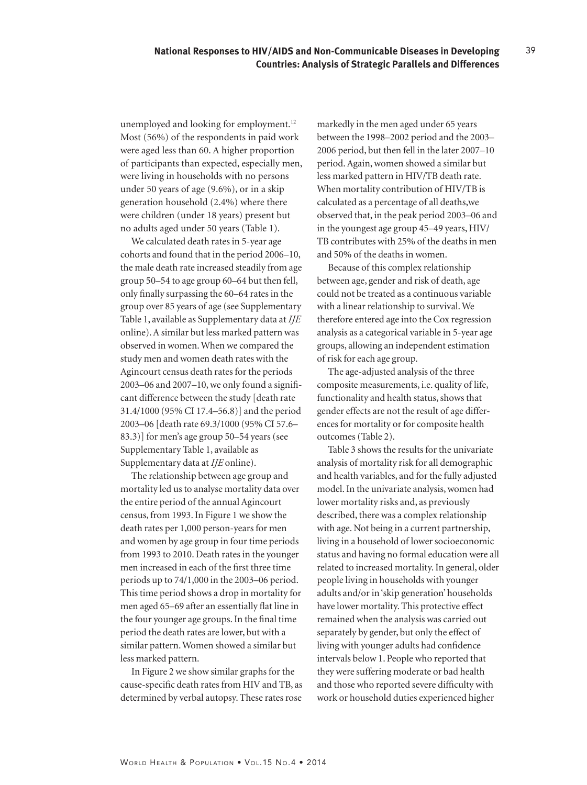unemployed and looking for employment.<sup>12</sup> Most (56%) of the respondents in paid work were aged less than 60. A higher proportion of participants than expected, especially men, were living in households with no persons under 50 years of age (9.6%), or in a skip generation household (2.4%) where there were children (under 18 years) present but no adults aged under 50 years (Table 1).

We calculated death rates in 5-year age cohorts and found that in the period 2006–10, the male death rate increased steadily from age group 50–54 to age group 60–64 but then fell, only finally surpassing the 60–64 rates in the group over 85 years of age (see Supplementary Table 1, available as Supplementary data at *IJE* online). A similar but less marked pattern was observed in women. When we compared the study men and women death rates with the Agincourt census death rates for the periods 2003–06 and 2007–10, we only found a significant difference between the study [death rate 31.4/1000 (95% CI 17.4–56.8)] and the period 2003–06 [death rate 69.3/1000 (95% CI 57.6– 83.3)] for men's age group 50–54 years (see Supplementary Table 1, available as Supplementary data at *IJE* online).

The relationship between age group and mortality led us to analyse mortality data over the entire period of the annual Agincourt census, from 1993. In Figure 1 we show the death rates per 1,000 person-years for men and women by age group in four time periods from 1993 to 2010. Death rates in the younger men increased in each of the first three time periods up to 74/1,000 in the 2003–06 period. This time period shows a drop in mortality for men aged 65–69 after an essentially flat line in the four younger age groups. In the final time period the death rates are lower, but with a similar pattern. Women showed a similar but less marked pattern.

In Figure 2 we show similar graphs for the cause-specific death rates from HIV and TB, as determined by verbal autopsy. These rates rose

markedly in the men aged under 65 years between the 1998–2002 period and the 2003– 2006 period, but then fell in the later 2007–10 period. Again, women showed a similar but less marked pattern in HIV/TB death rate. When mortality contribution of HIV/TB is calculated as a percentage of all deaths,we observed that, in the peak period 2003–06 and in the youngest age group 45–49 years, HIV/ TB contributes with 25% of the deaths in men and 50% of the deaths in women.

39

Because of this complex relationship between age, gender and risk of death, age could not be treated as a continuous variable with a linear relationship to survival. We therefore entered age into the Cox regression analysis as a categorical variable in 5-year age groups, allowing an independent estimation of risk for each age group.

The age-adjusted analysis of the three composite measurements, i.e. quality of life, functionality and health status, shows that gender effects are not the result of age differences for mortality or for composite health outcomes (Table 2).

Table 3 shows the results for the univariate analysis of mortality risk for all demographic and health variables, and for the fully adjusted model. In the univariate analysis, women had lower mortality risks and, as previously described, there was a complex relationship with age. Not being in a current partnership, living in a household of lower socioeconomic status and having no formal education were all related to increased mortality. In general, older people living in households with younger adults and/or in 'skip generation' households have lower mortality. This protective effect remained when the analysis was carried out separately by gender, but only the effect of living with younger adults had confidence intervals below 1. People who reported that they were suffering moderate or bad health and those who reported severe difficulty with work or household duties experienced higher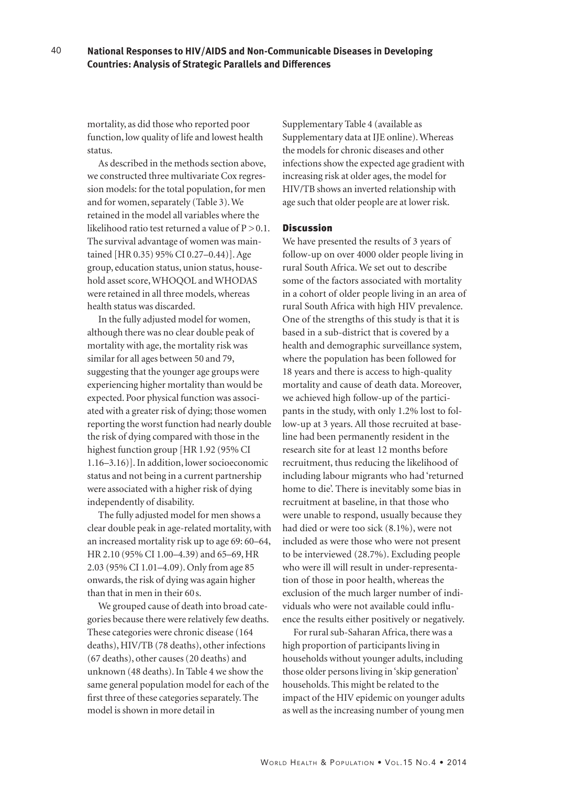mortality, as did those who reported poor function, low quality of life and lowest health status.

As described in the methods section above, we constructed three multivariate Cox regression models: for the total population, for men and for women, separately (Table 3). We retained in the model all variables where the likelihood ratio test returned a value of  $P > 0.1$ . The survival advantage of women was maintained [HR 0.35) 95% CI 0.27–0.44)]. Age group, education status, union status, household asset score, WHOQOL and WHODAS were retained in all three models, whereas health status was discarded.

In the fully adjusted model for women, although there was no clear double peak of mortality with age, the mortality risk was similar for all ages between 50 and 79, suggesting that the younger age groups were experiencing higher mortality than would be expected. Poor physical function was associated with a greater risk of dying; those women reporting the worst function had nearly double the risk of dying compared with those in the highest function group [HR 1.92 (95% CI 1.16–3.16)]. In addition, lower socioeconomic status and not being in a current partnership were associated with a higher risk of dying independently of disability.

The fully adjusted model for men shows a clear double peak in age-related mortality, with an increased mortality risk up to age 69: 60–64, HR 2.10 (95% CI 1.00–4.39) and 65–69, HR 2.03 (95% CI 1.01–4.09). Only from age 85 onwards, the risk of dying was again higher than that in men in their 60 s.

We grouped cause of death into broad categories because there were relatively few deaths. These categories were chronic disease (164 deaths), HIV/TB (78 deaths), other infections (67 deaths), other causes (20 deaths) and unknown (48 deaths). In Table 4 we show the same general population model for each of the first three of these categories separately. The model is shown in more detail in

Supplementary Table 4 (available as Supplementary data at IJE online). Whereas the models for chronic diseases and other infections show the expected age gradient with increasing risk at older ages, the model for HIV/TB shows an inverted relationship with age such that older people are at lower risk.

# Discussion

We have presented the results of 3 years of follow-up on over 4000 older people living in rural South Africa. We set out to describe some of the factors associated with mortality in a cohort of older people living in an area of rural South Africa with high HIV prevalence. One of the strengths of this study is that it is based in a sub-district that is covered by a health and demographic surveillance system, where the population has been followed for 18 years and there is access to high-quality mortality and cause of death data. Moreover, we achieved high follow-up of the participants in the study, with only 1.2% lost to follow-up at 3 years. All those recruited at baseline had been permanently resident in the research site for at least 12 months before recruitment, thus reducing the likelihood of including labour migrants who had 'returned home to die'. There is inevitably some bias in recruitment at baseline, in that those who were unable to respond, usually because they had died or were too sick (8.1%), were not included as were those who were not present to be interviewed (28.7%). Excluding people who were ill will result in under-representation of those in poor health, whereas the exclusion of the much larger number of individuals who were not available could influence the results either positively or negatively.

For rural sub-Saharan Africa, there was a high proportion of participants living in households without younger adults, including those older persons living in 'skip generation' households. This might be related to the impact of the HIV epidemic on younger adults as well as the increasing number of young men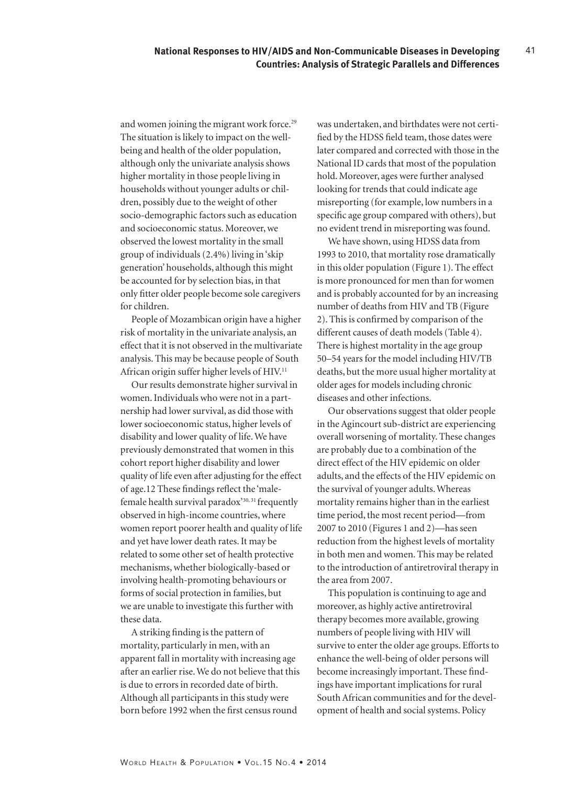and women joining the migrant work force.<sup>29</sup> The situation is likely to impact on the wellbeing and health of the older population, although only the univariate analysis shows higher mortality in those people living in households without younger adults or children, possibly due to the weight of other socio-demographic factors such as education and socioeconomic status. Moreover, we observed the lowest mortality in the small group of individuals (2.4%) living in 'skip generation' households, although this might be accounted for by selection bias, in that only fitter older people become sole caregivers for children.

People of Mozambican origin have a higher risk of mortality in the univariate analysis, an effect that it is not observed in the multivariate analysis. This may be because people of South African origin suffer higher levels of HIV.<sup>11</sup>

Our results demonstrate higher survival in women. Individuals who were not in a partnership had lower survival, as did those with lower socioeconomic status, higher levels of disability and lower quality of life. We have previously demonstrated that women in this cohort report higher disability and lower quality of life even after adjusting for the effect of age.12 These findings reflect the 'malefemale health survival paradox'30, 31 frequently observed in high-income countries, where women report poorer health and quality of life and yet have lower death rates. It may be related to some other set of health protective mechanisms, whether biologically-based or involving health-promoting behaviours or forms of social protection in families, but we are unable to investigate this further with these data.

A striking finding is the pattern of mortality, particularly in men, with an apparent fall in mortality with increasing age after an earlier rise. We do not believe that this is due to errors in recorded date of birth. Although all participants in this study were born before 1992 when the first census round

was undertaken, and birthdates were not certified by the HDSS field team, those dates were later compared and corrected with those in the National ID cards that most of the population hold. Moreover, ages were further analysed looking for trends that could indicate age misreporting (for example, low numbers in a specific age group compared with others), but no evident trend in misreporting was found.

41

We have shown, using HDSS data from 1993 to 2010, that mortality rose dramatically in this older population (Figure 1). The effect is more pronounced for men than for women and is probably accounted for by an increasing number of deaths from HIV and TB (Figure 2). This is confirmed by comparison of the different causes of death models (Table 4). There is highest mortality in the age group 50–54 years for the model including HIV/TB deaths, but the more usual higher mortality at older ages for models including chronic diseases and other infections.

Our observations suggest that older people in the Agincourt sub-district are experiencing overall worsening of mortality. These changes are probably due to a combination of the direct effect of the HIV epidemic on older adults, and the effects of the HIV epidemic on the survival of younger adults. Whereas mortality remains higher than in the earliest time period, the most recent period—from 2007 to 2010 (Figures 1 and 2)—has seen reduction from the highest levels of mortality in both men and women. This may be related to the introduction of antiretroviral therapy in the area from 2007.

This population is continuing to age and moreover, as highly active antiretroviral therapy becomes more available, growing numbers of people living with HIV will survive to enter the older age groups. Efforts to enhance the well-being of older persons will become increasingly important. These findings have important implications for rural South African communities and for the development of health and social systems. Policy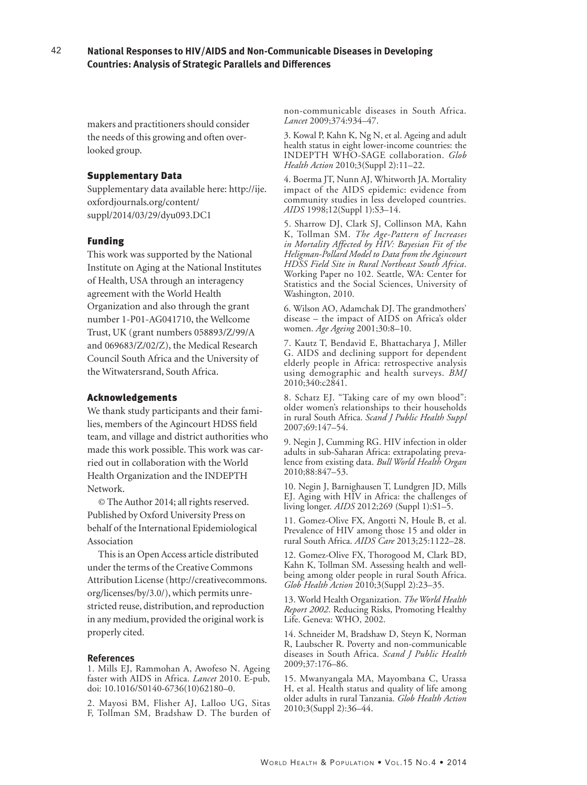#### 42 **National Responses to HIV/AIDS and Non-Communicable Diseases in Developing Countries: Analysis of Strategic Parallels and Differences**

makers and practitioners should consider the needs of this growing and often overlooked group.

### Supplementary Data

Supplementary data available here: http://ije. oxfordjournals.org/content/ suppl/2014/03/29/dyu093.DC1

# Funding

This work was supported by the National Institute on Aging at the National Institutes of Health, USA through an interagency agreement with the World Health Organization and also through the grant number 1-P01-AG041710, the Wellcome Trust, UK (grant numbers 058893/Z/99/A and 069683/Z/02/Z), the Medical Research Council South Africa and the University of the Witwatersrand, South Africa.

### Acknowledgements

We thank study participants and their families, members of the Agincourt HDSS field team, and village and district authorities who made this work possible. This work was carried out in collaboration with the World Health Organization and the INDEPTH Network.

© The Author 2014; all rights reserved. Published by Oxford University Press on behalf of the International Epidemiological Association

This is an Open Access article distributed under the terms of the Creative Commons Attribution License (http://creativecommons. org/licenses/by/3.0/), which permits unrestricted reuse, distribution, and reproduction in any medium, provided the original work is properly cited.

#### **References**

1. Mills EJ, Rammohan A, Awofeso N. Ageing faster with AIDS in Africa. *Lancet* 2010. E-pub, doi: 10.1016/S0140-6736(10)62180–0.

2. Mayosi BM, Flisher AJ, Lalloo UG, Sitas F, Tollman SM, Bradshaw D. The burden of non-communicable diseases in South Africa. *Lancet* 2009;374:934–47.

3. Kowal P, Kahn K, Ng N, et al. Ageing and adult health status in eight lower-income countries: the INDEPTH WHO-SAGE collaboration. *Glob Health Action* 2010;3(Suppl 2):11–22.

4. Boerma JT, Nunn AJ, Whitworth JA. Mortality impact of the AIDS epidemic: evidence from community studies in less developed countries. *AIDS* 1998;12(Suppl 1):S3–14.

5. Sharrow DJ, Clark SJ, Collinson MA, Kahn K, Tollman SM. *The Age-Pattern of Increases in Mortality Affected by HIV: Bayesian Fit of the Heligman-Pollard Model to Data from the Agincourt HDSS Field Site in Rural Northeast South Africa*. Working Paper no 102. Seattle, WA: Center for Statistics and the Social Sciences, University of Washington, 2010.

6. Wilson AO, Adamchak DJ. The grandmothers' disease – the impact of AIDS on Africa's older women. *Age Ageing* 2001;30:8–10.

7. Kautz T, Bendavid E, Bhattacharya J, Miller G. AIDS and declining support for dependent elderly people in Africa: retrospective analysis using demographic and health surveys. *BMJ* 2010;340:c2841.

8. Schatz EJ. "Taking care of my own blood": older women's relationships to their households in rural South Africa. *Scand J Public Health Suppl*  2007;69:147–54.

9. Negin J, Cumming RG. HIV infection in older adults in sub-Saharan Africa: extrapolating prevalence from existing data. *Bull World Health Organ*  2010;88:847–53.

10. Negin J, Barnighausen T, Lundgren JD, Mills EJ. Aging with HIV in Africa: the challenges of living longer. *AIDS* 2012;269 (Suppl 1):S1–5.

11. Gomez-Olive FX, Angotti N, Houle B, et al. Prevalence of HIV among those 15 and older in rural South Africa. *AIDS Care* 2013;25:1122–28.

12. Gomez-Olive FX, Thorogood M, Clark BD, Kahn K, Tollman SM. Assessing health and wellbeing among older people in rural South Africa. *Glob Health Action* 2010;3(Suppl 2):23–35.

13. World Health Organization. *The World Health Report 2002*. Reducing Risks, Promoting Healthy Life. Geneva: WHO, 2002.

14. Schneider M, Bradshaw D, Steyn K, Norman R, Laubscher R. Poverty and non-communicable diseases in South Africa. *Scand J Public Health*  2009;37:176–86.

15. Mwanyangala MA, Mayombana C, Urassa H, et al. Health status and quality of life among older adults in rural Tanzania. *Glob Health Action*  2010;3(Suppl 2):36–44.